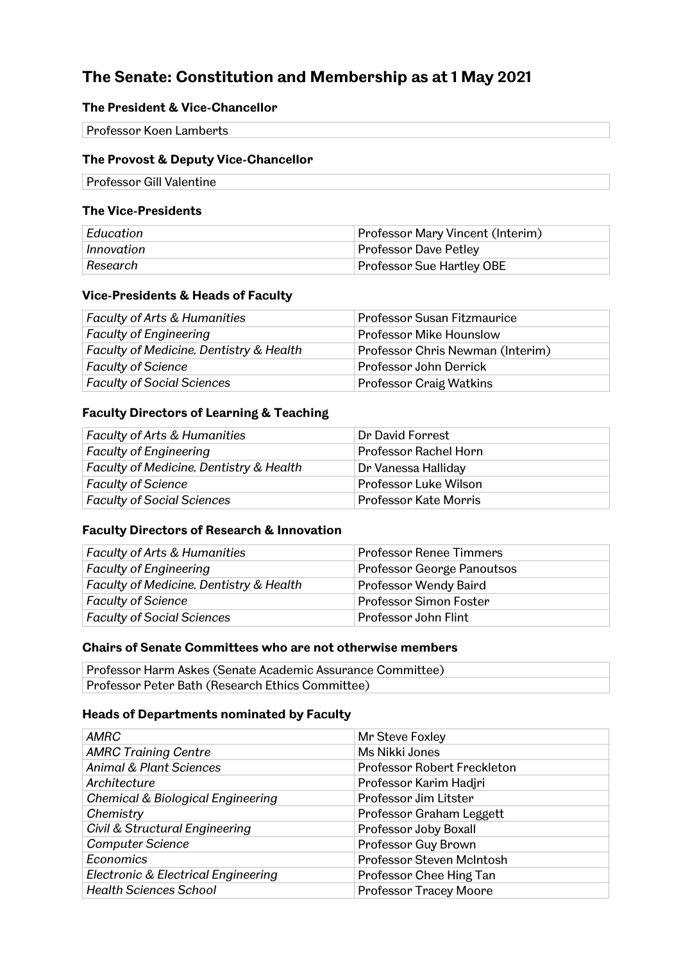# **The Senate: Constitution and Membership as at 1 May 2021**

## **The President & Vice-Chancellor**

| <b>Professor Koen Lamberts</b> |  |
|--------------------------------|--|

## **The Provost & Deputy Vice-Chancellor**

Professor Gill Valentine

#### **The Vice-Presidents**

| Education  | Professor Mary Vincent (Interim) |
|------------|----------------------------------|
| Innovation | <b>Professor Dave Petley</b>     |
| Research   | Professor Sue Hartley OBE        |

### **Vice-Presidents & Heads of Faculty**

| <b>Faculty of Arts &amp; Humanities</b> | Professor Susan Fitzmaurice      |
|-----------------------------------------|----------------------------------|
| <b>Faculty of Engineering</b>           | <b>Professor Mike Hounslow</b>   |
| Faculty of Medicine, Dentistry & Health | Professor Chris Newman (Interim) |
| <b>Faculty of Science</b>               | Professor John Derrick           |
| <b>Faculty of Social Sciences</b>       | <b>Professor Craig Watkins</b>   |

## **Faculty Directors of Learning & Teaching**

| <b>Faculty of Arts &amp; Humanities</b> | Dr David Forrest      |
|-----------------------------------------|-----------------------|
| <b>Faculty of Engineering</b>           | Professor Rachel Horn |
| Faculty of Medicine, Dentistry & Health | Dr Vanessa Halliday   |
| <b>Faculty of Science</b>               | Professor Luke Wilson |
| <b>Faculty of Social Sciences</b>       | Professor Kate Morris |

#### **Faculty Directors of Research & Innovation**

| <b>Faculty of Arts &amp; Humanities</b> | <b>Professor Renee Timmers</b> |
|-----------------------------------------|--------------------------------|
| <b>Faculty of Engineering</b>           | Professor George Panoutsos     |
| Faculty of Medicine, Dentistry & Health | <b>Professor Wendy Baird</b>   |
| <b>Faculty of Science</b>               | Professor Simon Foster         |
| <b>Faculty of Social Sciences</b>       | Professor John Flint           |

# **Chairs of Senate Committees who are not otherwise members**

| Professor Harm Askes (Senate Academic Assurance Committee) |  |
|------------------------------------------------------------|--|
| Professor Peter Bath (Research Ethics Committee)           |  |

#### **Heads of Departments nominated by Faculty**

| <b>AMRC</b>                         | Mr Steve Foxley               |
|-------------------------------------|-------------------------------|
| <b>AMRC Training Centre</b>         | Ms Nikki Jones                |
| <b>Animal &amp; Plant Sciences</b>  | Professor Robert Freckleton   |
| Architecture                        | Professor Karim Hadjri        |
| Chemical & Biological Engineering   | Professor Jim Litster         |
| Chemistry                           | Professor Graham Leggett      |
| Civil & Structural Engineering      | Professor Joby Boxall         |
| <b>Computer Science</b>             | Professor Guy Brown           |
| Economics                           | Professor Steven McIntosh     |
| Electronic & Electrical Engineering | Professor Chee Hing Tan       |
| <b>Health Sciences School</b>       | <b>Professor Tracey Moore</b> |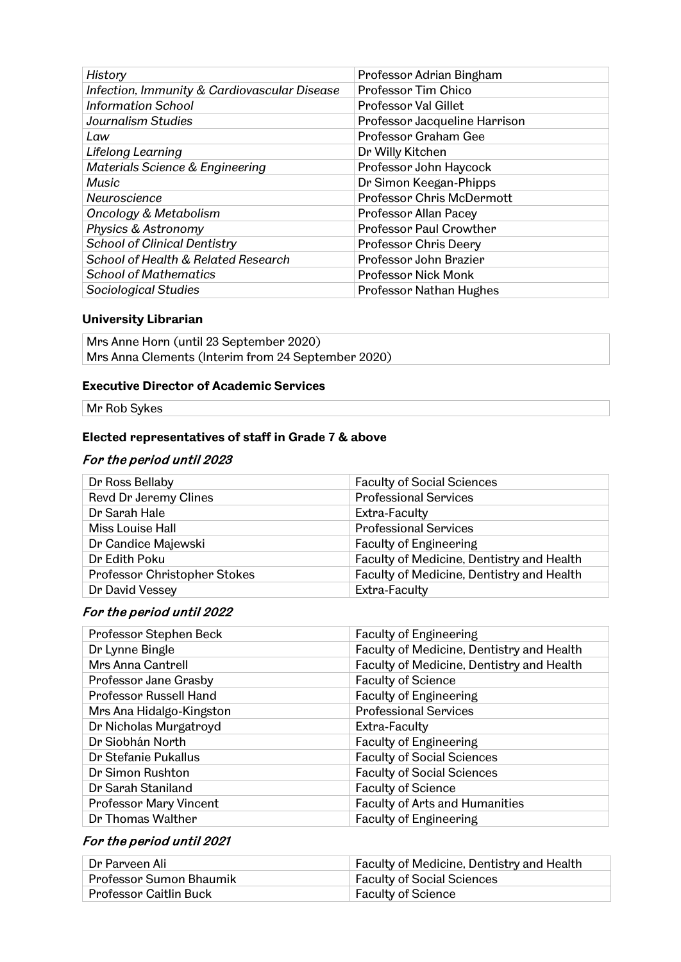| History                                      | Professor Adrian Bingham         |
|----------------------------------------------|----------------------------------|
| Infection, Immunity & Cardiovascular Disease | <b>Professor Tim Chico</b>       |
| <b>Information School</b>                    | <b>Professor Val Gillet</b>      |
| <b>Journalism Studies</b>                    | Professor Jacqueline Harrison    |
| Law                                          | Professor Graham Gee             |
| Lifelong Learning                            | Dr Willy Kitchen                 |
| Materials Science & Engineering              | Professor John Haycock           |
| Music                                        | Dr Simon Keegan-Phipps           |
| Neuroscience                                 | <b>Professor Chris McDermott</b> |
| <b>Oncology &amp; Metabolism</b>             | Professor Allan Pacey            |
| Physics & Astronomy                          | <b>Professor Paul Crowther</b>   |
| <b>School of Clinical Dentistry</b>          | <b>Professor Chris Deery</b>     |
| School of Health & Related Research          | Professor John Brazier           |
| <b>School of Mathematics</b>                 | <b>Professor Nick Monk</b>       |
| Sociological Studies                         | Professor Nathan Hughes          |

## **University Librarian**

Mrs Anne Horn (until 23 September 2020) Mrs Anna Clements (Interim from 24 September 2020)

### **Executive Director of Academic Services**

Mr Rob Sykes

### **Elected representatives of staff in Grade 7 & above**

## For the period until 2023

| Dr Ross Bellaby              | <b>Faculty of Social Sciences</b>         |
|------------------------------|-------------------------------------------|
| Revd Dr Jeremy Clines        | <b>Professional Services</b>              |
| Dr Sarah Hale                | Extra-Faculty                             |
| Miss Louise Hall             | <b>Professional Services</b>              |
| Dr Candice Majewski          | <b>Faculty of Engineering</b>             |
| Dr Edith Poku                | Faculty of Medicine, Dentistry and Health |
| Professor Christopher Stokes | Faculty of Medicine, Dentistry and Health |
| Dr David Vessey              | Extra-Faculty                             |

# For the period until 2022

| Professor Stephen Beck        | <b>Faculty of Engineering</b>             |
|-------------------------------|-------------------------------------------|
| Dr Lynne Bingle               | Faculty of Medicine, Dentistry and Health |
| Mrs Anna Cantrell             | Faculty of Medicine, Dentistry and Health |
| Professor Jane Grasby         | <b>Faculty of Science</b>                 |
| Professor Russell Hand        | <b>Faculty of Engineering</b>             |
| Mrs Ana Hidalgo-Kingston      | <b>Professional Services</b>              |
| Dr Nicholas Murgatroyd        | Extra-Faculty                             |
| Dr Siobhán North              | <b>Faculty of Engineering</b>             |
| Dr Stefanie Pukallus          | <b>Faculty of Social Sciences</b>         |
| Dr Simon Rushton              | <b>Faculty of Social Sciences</b>         |
| Dr Sarah Staniland            | <b>Faculty of Science</b>                 |
| <b>Professor Mary Vincent</b> | <b>Faculty of Arts and Humanities</b>     |
| Dr Thomas Walther             | <b>Faculty of Engineering</b>             |

### For the period until 2021

| ∣ Dr Parveen Ali        | $\parallel$ Faculty of Medicine, Dentistry and Health |
|-------------------------|-------------------------------------------------------|
| Professor Sumon Bhaumik | <b>Faculty of Social Sciences</b>                     |
| Professor Caitlin Buck  | <b>Faculty of Science</b>                             |